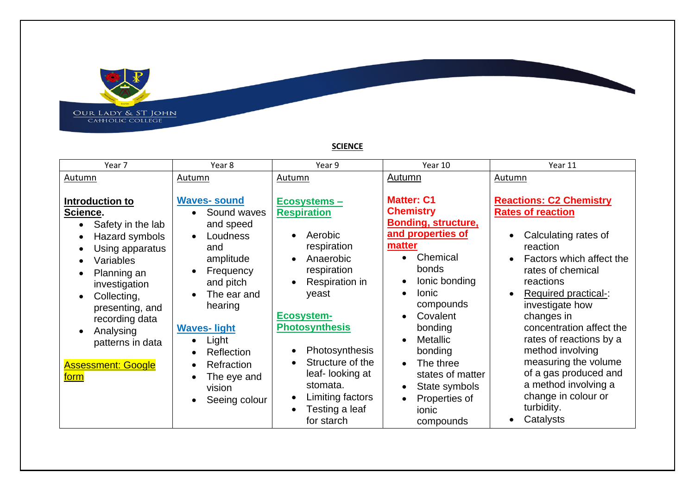

**SCIENCE**

**Repubblic Contracts**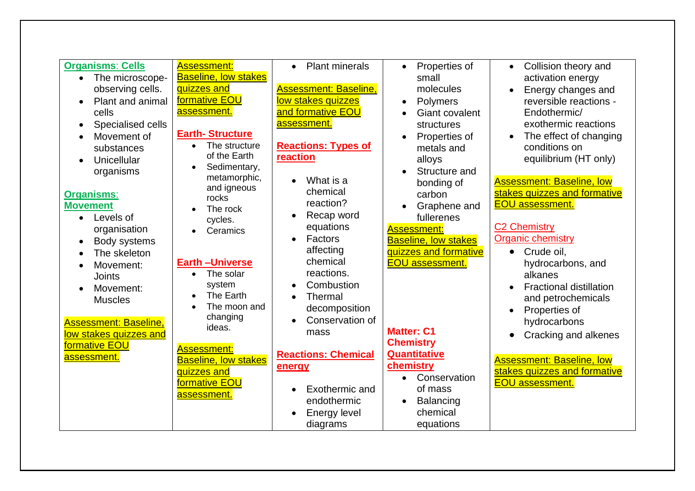| <b>Organisms: Cells</b><br>The microscope-<br>$\bullet$<br>observing cells.<br>Plant and animal<br>cells<br>Specialised cells<br>$\bullet$<br>Movement of<br>substances<br>Unicellular<br>$\bullet$<br>organisms<br><b>Organisms:</b><br><b>Movement</b><br>Levels of<br>$\bullet$<br>organisation<br>Body systems<br>$\bullet$<br>The skeleton<br>$\bullet$<br>Movement:<br><b>Joints</b><br>Movement:<br><b>Muscles</b><br><b>Assessment: Baseline,</b><br>low stakes quizzes and<br>formative EOU<br>assessment. | <b>Assessment:</b><br><b>Baseline, low stakes</b><br>quizzes and<br>formative EOU<br>assessment.<br><b>Earth-Structure</b><br>The structure<br>$\bullet$<br>of the Earth<br>Sedimentary,<br>$\bullet$<br>metamorphic,<br>and igneous<br>rocks<br>The rock<br>cycles.<br>Ceramics<br><b>Earth-Universe</b><br>The solar<br>$\bullet$<br>system<br>The Earth<br>The moon and<br>changing<br>ideas.<br><b>Assessment:</b><br><b>Baseline, low stakes</b><br>quizzes and<br>formative EOU<br>assessment. | <b>Plant minerals</b><br>$\bullet$<br><b>Assessment: Baseline,</b><br>low stakes quizzes<br>and formative EOU<br>assessment.<br><b>Reactions: Types of</b><br>reaction<br>What is a<br>chemical<br>reaction?<br>Recap word<br>equations<br>Factors<br>$\bullet$<br>affecting<br>chemical<br>reactions.<br>Combustion<br>Thermal<br>decomposition<br>Conservation of<br>mass<br><b>Reactions: Chemical</b><br>energy<br>Exothermic and<br>endothermic<br><b>Energy level</b><br>diagrams | Properties of<br>small<br>molecules<br>Polymers<br>$\bullet$<br><b>Giant covalent</b><br>structures<br>Properties of<br>metals and<br>alloys<br>Structure and<br>bonding of<br>carbon<br>Graphene and<br>fullerenes<br><b>Assessment:</b><br><b>Baseline, low stakes</b><br>quizzes and formative<br><b>EOU assessment.</b><br><b>Matter: C1</b><br><b>Chemistry</b><br><b>Quantitative</b><br>chemistry<br>Conservation<br>$\bullet$<br>of mass<br>Balancing<br>$\bullet$<br>chemical<br>equations | Collision theory and<br>$\bullet$<br>activation energy<br>Energy changes and<br>$\bullet$<br>reversible reactions -<br>Endothermic/<br>exothermic reactions<br>The effect of changing<br>$\bullet$<br>conditions on<br>equilibrium (HT only)<br><b>Assessment: Baseline, low</b><br>stakes quizzes and formative<br><b>EOU</b> assessment.<br><b>C2 Chemistry</b><br><b>Organic chemistry</b><br>Crude oil,<br>$\bullet$<br>hydrocarbons, and<br>alkanes<br><b>Fractional distillation</b><br>and petrochemicals<br>Properties of<br>$\bullet$<br>hydrocarbons<br>Cracking and alkenes<br>$\bullet$<br><b>Assessment: Baseline, low</b><br>stakes quizzes and formative<br><b>EOU</b> assessment. |
|---------------------------------------------------------------------------------------------------------------------------------------------------------------------------------------------------------------------------------------------------------------------------------------------------------------------------------------------------------------------------------------------------------------------------------------------------------------------------------------------------------------------|------------------------------------------------------------------------------------------------------------------------------------------------------------------------------------------------------------------------------------------------------------------------------------------------------------------------------------------------------------------------------------------------------------------------------------------------------------------------------------------------------|-----------------------------------------------------------------------------------------------------------------------------------------------------------------------------------------------------------------------------------------------------------------------------------------------------------------------------------------------------------------------------------------------------------------------------------------------------------------------------------------|-----------------------------------------------------------------------------------------------------------------------------------------------------------------------------------------------------------------------------------------------------------------------------------------------------------------------------------------------------------------------------------------------------------------------------------------------------------------------------------------------------|---------------------------------------------------------------------------------------------------------------------------------------------------------------------------------------------------------------------------------------------------------------------------------------------------------------------------------------------------------------------------------------------------------------------------------------------------------------------------------------------------------------------------------------------------------------------------------------------------------------------------------------------------------------------------------------------------|
|---------------------------------------------------------------------------------------------------------------------------------------------------------------------------------------------------------------------------------------------------------------------------------------------------------------------------------------------------------------------------------------------------------------------------------------------------------------------------------------------------------------------|------------------------------------------------------------------------------------------------------------------------------------------------------------------------------------------------------------------------------------------------------------------------------------------------------------------------------------------------------------------------------------------------------------------------------------------------------------------------------------------------------|-----------------------------------------------------------------------------------------------------------------------------------------------------------------------------------------------------------------------------------------------------------------------------------------------------------------------------------------------------------------------------------------------------------------------------------------------------------------------------------------|-----------------------------------------------------------------------------------------------------------------------------------------------------------------------------------------------------------------------------------------------------------------------------------------------------------------------------------------------------------------------------------------------------------------------------------------------------------------------------------------------------|---------------------------------------------------------------------------------------------------------------------------------------------------------------------------------------------------------------------------------------------------------------------------------------------------------------------------------------------------------------------------------------------------------------------------------------------------------------------------------------------------------------------------------------------------------------------------------------------------------------------------------------------------------------------------------------------------|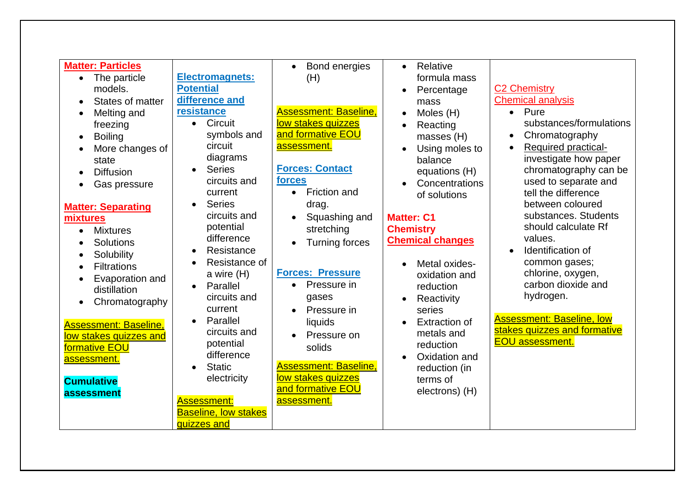| <b>Matter: Particles</b><br>The particle<br>$\bullet$<br>models.<br>States of matter<br>$\bullet$<br>Melting and<br>$\bullet$<br>freezing<br><b>Boiling</b><br>$\bullet$<br>More changes of<br>state<br><b>Diffusion</b><br>$\bullet$<br>Gas pressure<br>$\bullet$<br><b>Matter: Separating</b><br>mixtures<br><b>Mixtures</b><br>$\bullet$<br><b>Solutions</b><br>$\bullet$<br>Solubility<br>$\bullet$<br><b>Filtrations</b><br>$\bullet$<br>Evaporation and<br>$\bullet$<br>distillation<br>Chromatography<br>$\bullet$<br><b>Assessment: Baseline,</b><br>low stakes quizzes and<br>formative EOU<br><b>assessment.</b><br><b>Cumulative</b> | <b>Electromagnets:</b><br><b>Potential</b><br>difference and<br>resistance<br>Circuit<br>$\bullet$<br>symbols and<br>circuit<br>diagrams<br><b>Series</b><br>$\bullet$<br>circuits and<br>current<br><b>Series</b><br>circuits and<br>potential<br>difference<br>Resistance<br>$\bullet$<br>Resistance of<br>$\bullet$<br>a wire (H)<br>Parallel<br>$\bullet$<br>circuits and<br>current<br>Parallel<br>$\bullet$<br>circuits and<br>potential<br>difference<br><b>Static</b><br>$\bullet$<br>electricity | Bond energies<br>$\bullet$<br>(H)<br><b>Assessment: Baseline,</b><br>low stakes quizzes<br>and formative EOU<br>assessment.<br><b>Forces: Contact</b><br>forces<br>Friction and<br>$\bullet$<br>drag.<br>Squashing and<br>stretching<br><b>Turning forces</b><br><b>Forces: Pressure</b><br>Pressure in<br>$\bullet$<br>gases<br>Pressure in<br>$\bullet$<br>liquids<br>Pressure on<br>solids<br><b>Assessment: Baseline.</b><br>low stakes quizzes<br>and formative EOU | Relative<br>$\bullet$<br>formula mass<br>Percentage<br>$\bullet$<br>mass<br>Moles (H)<br>$\bullet$<br>Reacting<br>masses (H)<br>Using moles to<br>balance<br>equations (H)<br>Concentrations<br>of solutions<br><b>Matter: C1</b><br><b>Chemistry</b><br><b>Chemical changes</b><br>Metal oxides-<br>oxidation and<br>reduction<br>Reactivity<br>$\bullet$<br>series<br><b>Extraction of</b><br>metals and<br>reduction<br>Oxidation and<br>reduction (in<br>terms of<br>electrons) (H) | <b>C2 Chemistry</b><br><b>Chemical analysis</b><br>$\bullet$ Pure<br>substances/formulations<br>Chromatography<br>$\bullet$<br><b>Required practical-</b><br>investigate how paper<br>chromatography can be<br>used to separate and<br>tell the difference<br>between coloured<br>substances. Students<br>should calculate Rf<br>values.<br>Identification of<br>common gases;<br>chlorine, oxygen,<br>carbon dioxide and<br>hydrogen.<br><b>Assessment: Baseline, low</b><br>stakes quizzes and formative<br><b>EOU</b> assessment. |
|-------------------------------------------------------------------------------------------------------------------------------------------------------------------------------------------------------------------------------------------------------------------------------------------------------------------------------------------------------------------------------------------------------------------------------------------------------------------------------------------------------------------------------------------------------------------------------------------------------------------------------------------------|-----------------------------------------------------------------------------------------------------------------------------------------------------------------------------------------------------------------------------------------------------------------------------------------------------------------------------------------------------------------------------------------------------------------------------------------------------------------------------------------------------------|--------------------------------------------------------------------------------------------------------------------------------------------------------------------------------------------------------------------------------------------------------------------------------------------------------------------------------------------------------------------------------------------------------------------------------------------------------------------------|-----------------------------------------------------------------------------------------------------------------------------------------------------------------------------------------------------------------------------------------------------------------------------------------------------------------------------------------------------------------------------------------------------------------------------------------------------------------------------------------|--------------------------------------------------------------------------------------------------------------------------------------------------------------------------------------------------------------------------------------------------------------------------------------------------------------------------------------------------------------------------------------------------------------------------------------------------------------------------------------------------------------------------------------|
| assessment                                                                                                                                                                                                                                                                                                                                                                                                                                                                                                                                                                                                                                      |                                                                                                                                                                                                                                                                                                                                                                                                                                                                                                           |                                                                                                                                                                                                                                                                                                                                                                                                                                                                          |                                                                                                                                                                                                                                                                                                                                                                                                                                                                                         |                                                                                                                                                                                                                                                                                                                                                                                                                                                                                                                                      |
|                                                                                                                                                                                                                                                                                                                                                                                                                                                                                                                                                                                                                                                 | <b>Assessment:</b><br><b>Baseline, low stakes</b><br>quizzes and                                                                                                                                                                                                                                                                                                                                                                                                                                          | assessment.                                                                                                                                                                                                                                                                                                                                                                                                                                                              |                                                                                                                                                                                                                                                                                                                                                                                                                                                                                         |                                                                                                                                                                                                                                                                                                                                                                                                                                                                                                                                      |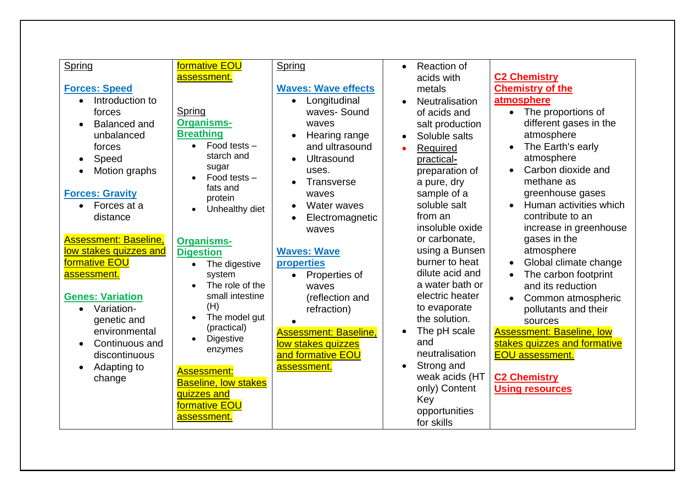| Spring                           | formative EOU<br>assessment. | Spring                       | Reaction of<br>$\bullet$<br>acids with | <b>C2 Chemistry</b>                         |
|----------------------------------|------------------------------|------------------------------|----------------------------------------|---------------------------------------------|
| <b>Forces: Speed</b>             |                              | <b>Waves: Wave effects</b>   | metals                                 | <b>Chemistry of the</b>                     |
| Introduction to<br>$\bullet$     |                              | Longitudinal<br>$\bullet$    | Neutralisation<br>$\bullet$            | atmosphere                                  |
| forces                           | Spring                       | waves-Sound                  | of acids and                           | The proportions of<br>$\bullet$             |
| <b>Balanced and</b><br>$\bullet$ | <b>Organisms-</b>            | waves                        | salt production                        | different gases in the                      |
| unbalanced                       | <b>Breathing</b>             | Hearing range                | Soluble salts<br>$\bullet$             | atmosphere                                  |
| forces                           | Food tests $-$<br>$\bullet$  | and ultrasound               | Required                               | The Earth's early                           |
| Speed<br>$\bullet$               | starch and                   | Ultrasound                   | practical-                             | atmosphere                                  |
| Motion graphs<br>$\bullet$       | sugar                        | uses.                        | preparation of                         | Carbon dioxide and<br>$\bullet$             |
|                                  | Food tests -                 | Transverse                   | a pure, dry                            | methane as                                  |
| <b>Forces: Gravity</b>           | fats and                     | waves                        | sample of a                            | greenhouse gases                            |
| Forces at a<br>$\bullet$         | protein                      | <b>Water waves</b>           | soluble salt                           | Human activities which                      |
| distance                         | Unhealthy diet               | Electromagnetic              | from an                                | contribute to an                            |
|                                  |                              | waves                        | insoluble oxide                        | increase in greenhouse                      |
| <b>Assessment: Baseline,</b>     | <b>Organisms-</b>            |                              | or carbonate,                          | gases in the                                |
| low stakes quizzes and           | <b>Digestion</b>             | <b>Waves: Wave</b>           | using a Bunsen                         | atmosphere                                  |
| formative EOU                    | $\bullet$                    | properties                   | burner to heat                         | Global climate change<br>$\bullet$          |
| assessment.                      | The digestive<br>system      | Properties of<br>$\bullet$   | dilute acid and                        | The carbon footprint                        |
|                                  | The role of the              | waves                        | a water bath or                        | and its reduction                           |
| <b>Genes: Variation</b>          | small intestine              | (reflection and              | electric heater                        |                                             |
| Variation-<br>$\bullet$          | (H)                          | refraction)                  | to evaporate                           | Common atmospheric                          |
| genetic and                      | The model gut<br>$\bullet$   |                              | the solution.                          | pollutants and their                        |
| environmental                    | (practical)                  | <b>Assessment: Baseline,</b> | The pH scale<br>$\bullet$              | sources<br><b>Assessment: Baseline, low</b> |
| Continuous and<br>$\bullet$      | Digestive<br>$\bullet$       | low stakes quizzes           | and                                    | stakes quizzes and formative                |
| discontinuous                    | enzymes                      | and formative EOU            | neutralisation                         | <b>EOU assessment.</b>                      |
|                                  |                              |                              | Strong and<br>$\bullet$                |                                             |
| Adapting to<br>$\bullet$         | <b>Assessment:</b>           | assessment.                  | weak acids (HT                         | <b>C2 Chemistry</b>                         |
| change                           | <b>Baseline, low stakes</b>  |                              | only) Content                          | <b>Using resources</b>                      |
|                                  | quizzes and                  |                              | Key                                    |                                             |
|                                  | formative EOU                |                              | opportunities                          |                                             |
|                                  | assessment.                  |                              | for skills                             |                                             |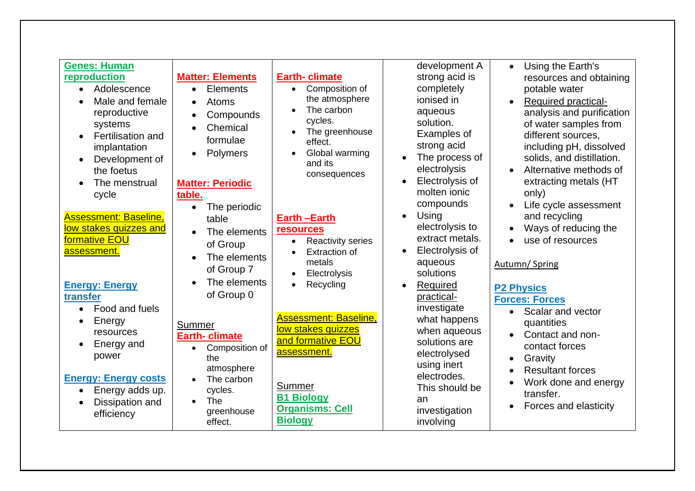| <b>Genes: Human</b><br>reproduction<br>Adolescence<br>$\bullet$<br>Male and female<br>$\bullet$<br>reproductive<br>systems<br>Fertilisation and<br>$\bullet$<br>implantation<br>Development of<br>$\bullet$<br>the foetus<br>The menstrual<br>cycle<br><b>Assessment: Baseline,</b><br>low stakes quizzes and<br>formative EOU<br>assessment.<br><b>Energy: Energy</b><br>transfer<br>Food and fuels<br>$\bullet$<br>Energy<br>$\bullet$<br>resources<br>Energy and<br>$\bullet$<br>power<br><b>Energy: Energy costs</b><br>Energy adds up.<br>$\bullet$<br>Dissipation and<br>$\bullet$<br>efficiency | <b>Matter: Elements</b><br>Elements<br>$\bullet$<br><b>Atoms</b><br>$\bullet$<br>Compounds<br>$\bullet$<br>Chemical<br>$\bullet$<br>formulae<br><b>Polymers</b><br>$\bullet$<br><b>Matter: Periodic</b><br>table.<br>The periodic<br>$\bullet$<br>table<br>The elements<br>$\bullet$<br>of Group<br>The elements<br>$\bullet$<br>of Group 7<br>The elements<br>$\bullet$<br>of Group 0<br>Summer<br><b>Earth-climate</b><br>Composition of<br>$\bullet$<br>the<br>atmosphere<br>The carbon<br>$\bullet$<br>cycles.<br>The<br>$\bullet$<br>greenhouse<br>effect. | <b>Earth-climate</b><br>Composition of<br>$\bullet$<br>the atmosphere<br>The carbon<br>cycles.<br>The greenhouse<br>effect.<br>Global warming<br>and its<br>consequences<br><b>Earth-Earth</b><br><b>resources</b><br><b>Reactivity series</b><br><b>Extraction of</b><br>metals<br>Electrolysis<br>Recycling<br><b>Assessment: Baseline,</b><br>low stakes quizzes<br>and formative EOU<br>assessment.<br>Summer<br><b>B1 Biology</b><br><b>Organisms: Cell</b><br><b>Biology</b> | development A<br>strong acid is<br>completely<br>ionised in<br>aqueous<br>solution.<br>Examples of<br>strong acid<br>The process of<br>$\bullet$<br>electrolysis<br>Electrolysis of<br>$\bullet$<br>molten ionic<br>compounds<br>Using<br>$\bullet$<br>electrolysis to<br>extract metals.<br>Electrolysis of<br>$\bullet$<br>aqueous<br>solutions<br>Required<br>practical-<br>investigate<br>what happens<br>when aqueous<br>solutions are<br>electrolysed<br>using inert<br>electrodes.<br>This should be<br>an<br>investigation<br>involving | Using the Earth's<br>$\bullet$<br>resources and obtaining<br>potable water<br><b>Required practical-</b><br>analysis and purification<br>of water samples from<br>different sources,<br>including pH, dissolved<br>solids, and distillation.<br>Alternative methods of<br>extracting metals (HT<br>only)<br>Life cycle assessment<br>and recycling<br>Ways of reducing the<br>use of resources<br>Autumn/Spring<br><b>P2 Physics</b><br><b>Forces: Forces</b><br>Scalar and vector<br>$\bullet$<br>quantities<br>Contact and non-<br>$\bullet$<br>contact forces<br>Gravity<br><b>Resultant forces</b><br>Work done and energy<br>transfer.<br>Forces and elasticity |
|--------------------------------------------------------------------------------------------------------------------------------------------------------------------------------------------------------------------------------------------------------------------------------------------------------------------------------------------------------------------------------------------------------------------------------------------------------------------------------------------------------------------------------------------------------------------------------------------------------|-----------------------------------------------------------------------------------------------------------------------------------------------------------------------------------------------------------------------------------------------------------------------------------------------------------------------------------------------------------------------------------------------------------------------------------------------------------------------------------------------------------------------------------------------------------------|------------------------------------------------------------------------------------------------------------------------------------------------------------------------------------------------------------------------------------------------------------------------------------------------------------------------------------------------------------------------------------------------------------------------------------------------------------------------------------|-------------------------------------------------------------------------------------------------------------------------------------------------------------------------------------------------------------------------------------------------------------------------------------------------------------------------------------------------------------------------------------------------------------------------------------------------------------------------------------------------------------------------------------------------|----------------------------------------------------------------------------------------------------------------------------------------------------------------------------------------------------------------------------------------------------------------------------------------------------------------------------------------------------------------------------------------------------------------------------------------------------------------------------------------------------------------------------------------------------------------------------------------------------------------------------------------------------------------------|
|--------------------------------------------------------------------------------------------------------------------------------------------------------------------------------------------------------------------------------------------------------------------------------------------------------------------------------------------------------------------------------------------------------------------------------------------------------------------------------------------------------------------------------------------------------------------------------------------------------|-----------------------------------------------------------------------------------------------------------------------------------------------------------------------------------------------------------------------------------------------------------------------------------------------------------------------------------------------------------------------------------------------------------------------------------------------------------------------------------------------------------------------------------------------------------------|------------------------------------------------------------------------------------------------------------------------------------------------------------------------------------------------------------------------------------------------------------------------------------------------------------------------------------------------------------------------------------------------------------------------------------------------------------------------------------|-------------------------------------------------------------------------------------------------------------------------------------------------------------------------------------------------------------------------------------------------------------------------------------------------------------------------------------------------------------------------------------------------------------------------------------------------------------------------------------------------------------------------------------------------|----------------------------------------------------------------------------------------------------------------------------------------------------------------------------------------------------------------------------------------------------------------------------------------------------------------------------------------------------------------------------------------------------------------------------------------------------------------------------------------------------------------------------------------------------------------------------------------------------------------------------------------------------------------------|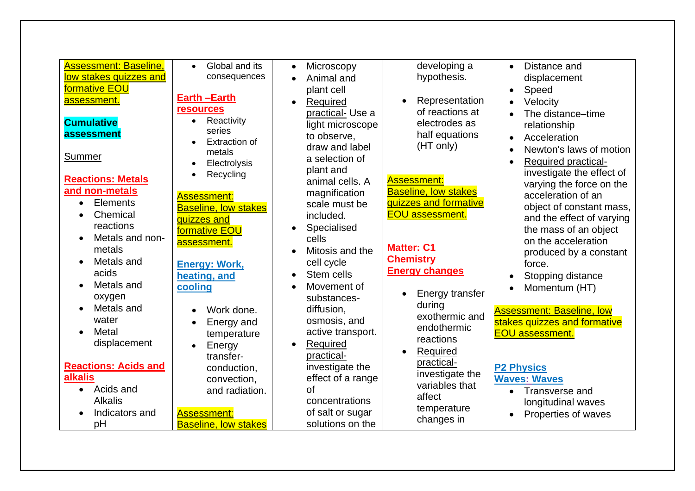| <b>Assessment: Baseline,</b><br>Global and its<br>developing a<br>Distance and<br>$\bullet$<br>Microscopy<br>$\bullet$<br>$\bullet$<br>low stakes quizzes and<br>hypothesis.<br>consequences<br>displacement<br>Animal and<br>formative EOU<br>plant cell<br>Speed<br><b>Earth-Earth</b><br>Representation<br>assessment.<br>Velocity<br>Required<br>$\bullet$<br><b>resources</b><br>of reactions at<br>practical-Use a<br>The distance-time<br>Reactivity<br>$\bullet$<br><b>Cumulative</b><br>electrodes as<br>light microscope<br>relationship<br>series<br>assessment<br>half equations<br>to observe,<br>Acceleration<br>$\bullet$<br><b>Extraction of</b><br>(HT only)<br>draw and label<br>Newton's laws of motion<br>metals<br>Summer<br>a selection of<br>Required practical-<br>Electrolysis<br>$\bullet$<br>plant and<br>investigate the effect of<br>Recycling<br>$\bullet$<br><b>Reactions: Metals</b><br><b>Assessment:</b><br>animal cells. A<br>varying the force on the<br>and non-metals<br><b>Baseline, low stakes</b><br>magnification<br>acceleration of an<br><b>Assessment:</b><br><b>Elements</b><br>quizzes and formative<br>scale must be<br>$\bullet$<br>object of constant mass,<br><b>Baseline, low stakes</b><br>Chemical<br><b>EOU</b> assessment.<br>included.<br>$\bullet$<br>and the effect of varying<br>quizzes and<br>reactions<br>Specialised<br>the mass of an object<br>formative EOU<br>Metals and non-<br>cells<br>on the acceleration<br>assessment.<br><b>Matter: C1</b><br>metals<br>Mitosis and the<br>produced by a constant<br><b>Chemistry</b><br>Metals and<br>$\bullet$<br>cell cycle<br><b>Energy: Work,</b><br>force.<br><b>Energy changes</b><br>acids<br>Stem cells<br>heating, and<br>Stopping distance<br>Metals and<br>Movement of<br>cooling<br>Momentum (HT)<br>$\bullet$<br>Energy transfer<br>$\bullet$<br>oxygen<br>substances-<br>during<br>Metals and<br>$\bullet$<br>diffusion,<br>Work done.<br><b>Assessment: Baseline, low</b><br>$\bullet$<br>exothermic and<br>water<br>osmosis, and<br>stakes quizzes and formative<br>Energy and<br>$\bullet$<br>endothermic |                    |             |                   |                        |
|----------------------------------------------------------------------------------------------------------------------------------------------------------------------------------------------------------------------------------------------------------------------------------------------------------------------------------------------------------------------------------------------------------------------------------------------------------------------------------------------------------------------------------------------------------------------------------------------------------------------------------------------------------------------------------------------------------------------------------------------------------------------------------------------------------------------------------------------------------------------------------------------------------------------------------------------------------------------------------------------------------------------------------------------------------------------------------------------------------------------------------------------------------------------------------------------------------------------------------------------------------------------------------------------------------------------------------------------------------------------------------------------------------------------------------------------------------------------------------------------------------------------------------------------------------------------------------------------------------------------------------------------------------------------------------------------------------------------------------------------------------------------------------------------------------------------------------------------------------------------------------------------------------------------------------------------------------------------------------------------------------------------------------------------------------------------------------------------------------------------------------------|--------------------|-------------|-------------------|------------------------|
|                                                                                                                                                                                                                                                                                                                                                                                                                                                                                                                                                                                                                                                                                                                                                                                                                                                                                                                                                                                                                                                                                                                                                                                                                                                                                                                                                                                                                                                                                                                                                                                                                                                                                                                                                                                                                                                                                                                                                                                                                                                                                                                                        |                    |             |                   |                        |
|                                                                                                                                                                                                                                                                                                                                                                                                                                                                                                                                                                                                                                                                                                                                                                                                                                                                                                                                                                                                                                                                                                                                                                                                                                                                                                                                                                                                                                                                                                                                                                                                                                                                                                                                                                                                                                                                                                                                                                                                                                                                                                                                        |                    |             |                   |                        |
|                                                                                                                                                                                                                                                                                                                                                                                                                                                                                                                                                                                                                                                                                                                                                                                                                                                                                                                                                                                                                                                                                                                                                                                                                                                                                                                                                                                                                                                                                                                                                                                                                                                                                                                                                                                                                                                                                                                                                                                                                                                                                                                                        |                    |             |                   |                        |
|                                                                                                                                                                                                                                                                                                                                                                                                                                                                                                                                                                                                                                                                                                                                                                                                                                                                                                                                                                                                                                                                                                                                                                                                                                                                                                                                                                                                                                                                                                                                                                                                                                                                                                                                                                                                                                                                                                                                                                                                                                                                                                                                        |                    |             |                   |                        |
|                                                                                                                                                                                                                                                                                                                                                                                                                                                                                                                                                                                                                                                                                                                                                                                                                                                                                                                                                                                                                                                                                                                                                                                                                                                                                                                                                                                                                                                                                                                                                                                                                                                                                                                                                                                                                                                                                                                                                                                                                                                                                                                                        |                    |             |                   |                        |
|                                                                                                                                                                                                                                                                                                                                                                                                                                                                                                                                                                                                                                                                                                                                                                                                                                                                                                                                                                                                                                                                                                                                                                                                                                                                                                                                                                                                                                                                                                                                                                                                                                                                                                                                                                                                                                                                                                                                                                                                                                                                                                                                        |                    |             |                   |                        |
|                                                                                                                                                                                                                                                                                                                                                                                                                                                                                                                                                                                                                                                                                                                                                                                                                                                                                                                                                                                                                                                                                                                                                                                                                                                                                                                                                                                                                                                                                                                                                                                                                                                                                                                                                                                                                                                                                                                                                                                                                                                                                                                                        |                    |             |                   |                        |
|                                                                                                                                                                                                                                                                                                                                                                                                                                                                                                                                                                                                                                                                                                                                                                                                                                                                                                                                                                                                                                                                                                                                                                                                                                                                                                                                                                                                                                                                                                                                                                                                                                                                                                                                                                                                                                                                                                                                                                                                                                                                                                                                        |                    |             |                   |                        |
|                                                                                                                                                                                                                                                                                                                                                                                                                                                                                                                                                                                                                                                                                                                                                                                                                                                                                                                                                                                                                                                                                                                                                                                                                                                                                                                                                                                                                                                                                                                                                                                                                                                                                                                                                                                                                                                                                                                                                                                                                                                                                                                                        |                    |             |                   |                        |
|                                                                                                                                                                                                                                                                                                                                                                                                                                                                                                                                                                                                                                                                                                                                                                                                                                                                                                                                                                                                                                                                                                                                                                                                                                                                                                                                                                                                                                                                                                                                                                                                                                                                                                                                                                                                                                                                                                                                                                                                                                                                                                                                        |                    |             |                   |                        |
|                                                                                                                                                                                                                                                                                                                                                                                                                                                                                                                                                                                                                                                                                                                                                                                                                                                                                                                                                                                                                                                                                                                                                                                                                                                                                                                                                                                                                                                                                                                                                                                                                                                                                                                                                                                                                                                                                                                                                                                                                                                                                                                                        |                    |             |                   |                        |
|                                                                                                                                                                                                                                                                                                                                                                                                                                                                                                                                                                                                                                                                                                                                                                                                                                                                                                                                                                                                                                                                                                                                                                                                                                                                                                                                                                                                                                                                                                                                                                                                                                                                                                                                                                                                                                                                                                                                                                                                                                                                                                                                        |                    |             |                   |                        |
|                                                                                                                                                                                                                                                                                                                                                                                                                                                                                                                                                                                                                                                                                                                                                                                                                                                                                                                                                                                                                                                                                                                                                                                                                                                                                                                                                                                                                                                                                                                                                                                                                                                                                                                                                                                                                                                                                                                                                                                                                                                                                                                                        |                    |             |                   |                        |
|                                                                                                                                                                                                                                                                                                                                                                                                                                                                                                                                                                                                                                                                                                                                                                                                                                                                                                                                                                                                                                                                                                                                                                                                                                                                                                                                                                                                                                                                                                                                                                                                                                                                                                                                                                                                                                                                                                                                                                                                                                                                                                                                        |                    |             |                   |                        |
|                                                                                                                                                                                                                                                                                                                                                                                                                                                                                                                                                                                                                                                                                                                                                                                                                                                                                                                                                                                                                                                                                                                                                                                                                                                                                                                                                                                                                                                                                                                                                                                                                                                                                                                                                                                                                                                                                                                                                                                                                                                                                                                                        |                    |             |                   |                        |
|                                                                                                                                                                                                                                                                                                                                                                                                                                                                                                                                                                                                                                                                                                                                                                                                                                                                                                                                                                                                                                                                                                                                                                                                                                                                                                                                                                                                                                                                                                                                                                                                                                                                                                                                                                                                                                                                                                                                                                                                                                                                                                                                        |                    |             |                   |                        |
|                                                                                                                                                                                                                                                                                                                                                                                                                                                                                                                                                                                                                                                                                                                                                                                                                                                                                                                                                                                                                                                                                                                                                                                                                                                                                                                                                                                                                                                                                                                                                                                                                                                                                                                                                                                                                                                                                                                                                                                                                                                                                                                                        |                    |             |                   |                        |
|                                                                                                                                                                                                                                                                                                                                                                                                                                                                                                                                                                                                                                                                                                                                                                                                                                                                                                                                                                                                                                                                                                                                                                                                                                                                                                                                                                                                                                                                                                                                                                                                                                                                                                                                                                                                                                                                                                                                                                                                                                                                                                                                        |                    |             |                   |                        |
|                                                                                                                                                                                                                                                                                                                                                                                                                                                                                                                                                                                                                                                                                                                                                                                                                                                                                                                                                                                                                                                                                                                                                                                                                                                                                                                                                                                                                                                                                                                                                                                                                                                                                                                                                                                                                                                                                                                                                                                                                                                                                                                                        |                    |             |                   |                        |
|                                                                                                                                                                                                                                                                                                                                                                                                                                                                                                                                                                                                                                                                                                                                                                                                                                                                                                                                                                                                                                                                                                                                                                                                                                                                                                                                                                                                                                                                                                                                                                                                                                                                                                                                                                                                                                                                                                                                                                                                                                                                                                                                        |                    |             |                   |                        |
|                                                                                                                                                                                                                                                                                                                                                                                                                                                                                                                                                                                                                                                                                                                                                                                                                                                                                                                                                                                                                                                                                                                                                                                                                                                                                                                                                                                                                                                                                                                                                                                                                                                                                                                                                                                                                                                                                                                                                                                                                                                                                                                                        |                    |             |                   |                        |
|                                                                                                                                                                                                                                                                                                                                                                                                                                                                                                                                                                                                                                                                                                                                                                                                                                                                                                                                                                                                                                                                                                                                                                                                                                                                                                                                                                                                                                                                                                                                                                                                                                                                                                                                                                                                                                                                                                                                                                                                                                                                                                                                        |                    |             |                   |                        |
|                                                                                                                                                                                                                                                                                                                                                                                                                                                                                                                                                                                                                                                                                                                                                                                                                                                                                                                                                                                                                                                                                                                                                                                                                                                                                                                                                                                                                                                                                                                                                                                                                                                                                                                                                                                                                                                                                                                                                                                                                                                                                                                                        |                    |             |                   |                        |
|                                                                                                                                                                                                                                                                                                                                                                                                                                                                                                                                                                                                                                                                                                                                                                                                                                                                                                                                                                                                                                                                                                                                                                                                                                                                                                                                                                                                                                                                                                                                                                                                                                                                                                                                                                                                                                                                                                                                                                                                                                                                                                                                        | Metal<br>$\bullet$ | temperature | active transport. | <b>EOU</b> assessment. |
| reactions<br>displacement<br>Required<br>Energy<br>$\bullet$<br>$\bullet$                                                                                                                                                                                                                                                                                                                                                                                                                                                                                                                                                                                                                                                                                                                                                                                                                                                                                                                                                                                                                                                                                                                                                                                                                                                                                                                                                                                                                                                                                                                                                                                                                                                                                                                                                                                                                                                                                                                                                                                                                                                              |                    |             |                   |                        |
| Required<br>practical-<br>transfer-                                                                                                                                                                                                                                                                                                                                                                                                                                                                                                                                                                                                                                                                                                                                                                                                                                                                                                                                                                                                                                                                                                                                                                                                                                                                                                                                                                                                                                                                                                                                                                                                                                                                                                                                                                                                                                                                                                                                                                                                                                                                                                    |                    |             |                   |                        |
| practical-<br><b>Reactions: Acids and</b><br>investigate the<br><b>P2 Physics</b><br>conduction,                                                                                                                                                                                                                                                                                                                                                                                                                                                                                                                                                                                                                                                                                                                                                                                                                                                                                                                                                                                                                                                                                                                                                                                                                                                                                                                                                                                                                                                                                                                                                                                                                                                                                                                                                                                                                                                                                                                                                                                                                                       |                    |             |                   |                        |
| investigate the<br>alkalis<br>effect of a range<br><b>Waves: Waves</b><br>convection,                                                                                                                                                                                                                                                                                                                                                                                                                                                                                                                                                                                                                                                                                                                                                                                                                                                                                                                                                                                                                                                                                                                                                                                                                                                                                                                                                                                                                                                                                                                                                                                                                                                                                                                                                                                                                                                                                                                                                                                                                                                  |                    |             |                   |                        |
| variables that<br>Acids and<br><sub>of</sub><br>and radiation.<br>$\bullet$<br>Transverse and<br>$\bullet$                                                                                                                                                                                                                                                                                                                                                                                                                                                                                                                                                                                                                                                                                                                                                                                                                                                                                                                                                                                                                                                                                                                                                                                                                                                                                                                                                                                                                                                                                                                                                                                                                                                                                                                                                                                                                                                                                                                                                                                                                             |                    |             |                   |                        |
| affect<br><b>Alkalis</b><br>concentrations<br>longitudinal waves                                                                                                                                                                                                                                                                                                                                                                                                                                                                                                                                                                                                                                                                                                                                                                                                                                                                                                                                                                                                                                                                                                                                                                                                                                                                                                                                                                                                                                                                                                                                                                                                                                                                                                                                                                                                                                                                                                                                                                                                                                                                       |                    |             |                   |                        |
| temperature<br>of salt or sugar<br>Indicators and<br><b>Assessment:</b><br>Properties of waves                                                                                                                                                                                                                                                                                                                                                                                                                                                                                                                                                                                                                                                                                                                                                                                                                                                                                                                                                                                                                                                                                                                                                                                                                                                                                                                                                                                                                                                                                                                                                                                                                                                                                                                                                                                                                                                                                                                                                                                                                                         |                    |             |                   |                        |
| changes in<br>solutions on the<br><b>Baseline, low stakes</b><br>pH                                                                                                                                                                                                                                                                                                                                                                                                                                                                                                                                                                                                                                                                                                                                                                                                                                                                                                                                                                                                                                                                                                                                                                                                                                                                                                                                                                                                                                                                                                                                                                                                                                                                                                                                                                                                                                                                                                                                                                                                                                                                    |                    |             |                   |                        |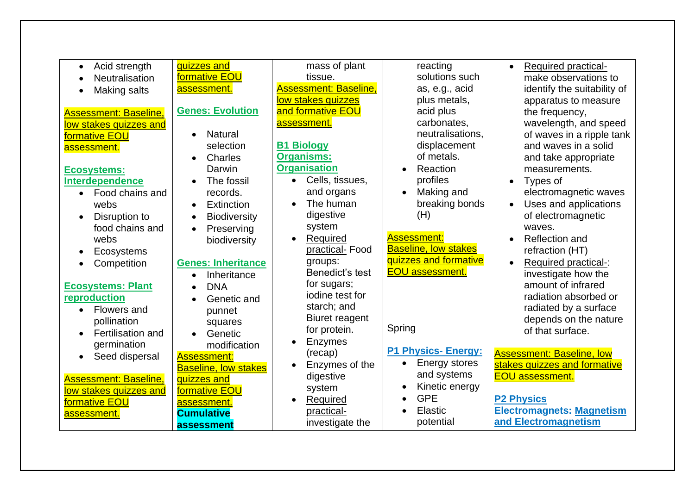| mass of plant<br>quizzes and<br>reacting<br>Acid strength<br>$\bullet$<br>formative EOU<br>solutions such<br>tissue.<br><b>Neutralisation</b> | Required practical-<br>$\bullet$ |
|-----------------------------------------------------------------------------------------------------------------------------------------------|----------------------------------|
|                                                                                                                                               |                                  |
| <b>Assessment: Baseline,</b>                                                                                                                  | make observations to             |
| as, e.g., acid<br>assessment.<br>Making salts                                                                                                 | identify the suitability of      |
| low stakes quizzes<br>plus metals,                                                                                                            | apparatus to measure             |
| and formative EOU<br><b>Genes: Evolution</b><br>acid plus<br><b>Assessment: Baseline,</b>                                                     | the frequency,                   |
| assessment.<br>carbonates,<br>low stakes quizzes and                                                                                          | wavelength, and speed            |
| neutralisations,<br><b>Natural</b><br>formative EOU<br>$\bullet$                                                                              | of waves in a ripple tank        |
| <b>B1 Biology</b><br>displacement<br>selection<br>assessment.                                                                                 | and waves in a solid             |
| of metals.<br><b>Organisms:</b><br>Charles<br>$\bullet$                                                                                       | and take appropriate             |
| <b>Organisation</b><br>Reaction<br>Darwin<br><b>Ecosystems:</b>                                                                               | measurements.                    |
| profiles<br>Cells, tissues,<br><b>Interdependence</b><br>The fossil<br>$\bullet$                                                              | Types of                         |
| and organs<br>Making and<br>records.<br>Food chains and<br>$\bullet$<br>$\bullet$                                                             | electromagnetic waves            |
| The human<br>breaking bonds<br>webs<br>Extinction<br>$\bullet$                                                                                | Uses and applications            |
| digestive<br>(H)<br>Disruption to<br><b>Biodiversity</b><br>$\bullet$                                                                         | of electromagnetic               |
| system<br>food chains and<br>Preserving<br>$\bullet$                                                                                          | waves.                           |
| <b>Assessment:</b><br>Required<br>webs<br>biodiversity<br>$\bullet$                                                                           | Reflection and                   |
| <b>Baseline, low stakes</b><br>practical-Food<br>Ecosystems                                                                                   | refraction (HT)                  |
| quizzes and formative<br>groups:<br><b>Genes: Inheritance</b>                                                                                 | Required practical-:             |
| Competition<br>$\bullet$<br><b>EOU</b> assessment.<br>Benedict's test                                                                         |                                  |
| Inheritance<br>$\bullet$<br>for sugars;                                                                                                       | investigate how the              |
| <b>Ecosystems: Plant</b><br><b>DNA</b><br>$\bullet$<br>jodine test for                                                                        | amount of infrared               |
| reproduction<br>Genetic and<br>$\bullet$                                                                                                      | radiation absorbed or            |
| starch; and<br><b>Flowers and</b><br>punnet<br>$\bullet$                                                                                      | radiated by a surface            |
| Biuret reagent<br>pollination<br>squares                                                                                                      | depends on the nature            |
| Spring<br>for protein.<br>Fertilisation and<br>Genetic<br>$\bullet$                                                                           | of that surface.                 |
| Enzymes<br>germination<br>modification                                                                                                        |                                  |
| <b>P1 Physics- Energy:</b><br>(recap)<br>Seed dispersal<br><b>Assessment:</b><br>$\bullet$                                                    | <b>Assessment: Baseline, low</b> |
| <b>Energy stores</b><br>Enzymes of the<br>$\bullet$<br><b>Baseline, low stakes</b>                                                            | stakes quizzes and formative     |
| and systems<br>digestive<br><b>Assessment: Baseline,</b><br>quizzes and                                                                       | <b>EOU</b> assessment.           |
| Kinetic energy<br>system<br>low stakes quizzes and<br>formative EOU                                                                           |                                  |
| <b>GPE</b><br>Required<br>formative EOU<br>assessment.                                                                                        | <b>P2 Physics</b>                |
| Elastic<br>practical-<br><b>Cumulative</b><br>assessment.                                                                                     | <b>Electromagnets: Magnetism</b> |
| potential<br>investigate the<br>assessment                                                                                                    | and Electromagnetism             |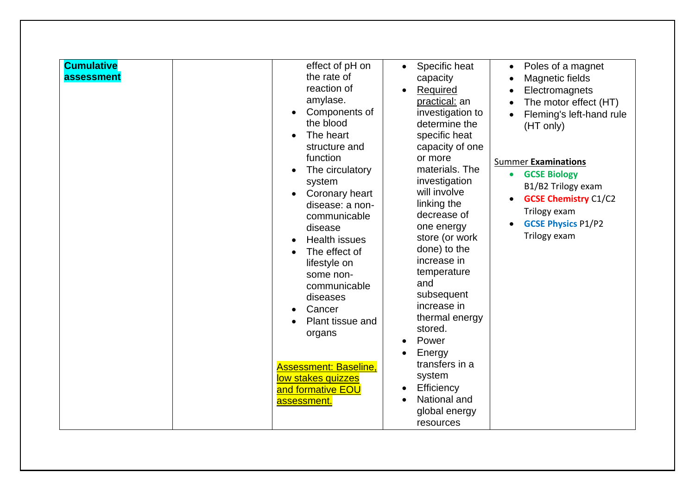| <b>Cumulative</b><br>assessment | effect of pH on<br>the rate of<br>reaction of<br>amylase.<br>Components of<br>the blood<br>The heart<br>structure and<br>function<br>The circulatory<br>system<br>Coronary heart<br>disease: a non-<br>communicable<br>disease<br><b>Health issues</b><br>The effect of<br>lifestyle on<br>some non-<br>communicable<br>diseases<br>Cancer<br>Plant tissue and<br>organs<br><b>Assessment: Baseline,</b><br>low stakes quizzes<br>and formative EOU<br>assessment. | Specific heat<br>$\bullet$<br>capacity<br>Required<br>practical: an<br>investigation to<br>determine the<br>specific heat<br>capacity of one<br>or more<br>materials. The<br>investigation<br>will involve<br>linking the<br>decrease of<br>one energy<br>store (or work<br>done) to the<br>increase in<br>temperature<br>and<br>subsequent<br>increase in<br>thermal energy<br>stored.<br>Power<br>Energy<br>transfers in a<br>system<br>Efficiency<br>National and<br>global energy<br>resources | Poles of a magnet<br>$\bullet$<br>Magnetic fields<br>$\bullet$<br>Electromagnets<br>The motor effect (HT)<br>Fleming's left-hand rule<br>(HT only)<br><b>Summer Examinations</b><br><b>GCSE Biology</b><br>$\bullet$<br>B1/B2 Trilogy exam<br><b>GCSE Chemistry C1/C2</b><br>Trilogy exam<br><b>GCSE Physics P1/P2</b><br>Trilogy exam |
|---------------------------------|--------------------------------------------------------------------------------------------------------------------------------------------------------------------------------------------------------------------------------------------------------------------------------------------------------------------------------------------------------------------------------------------------------------------------------------------------------------------|----------------------------------------------------------------------------------------------------------------------------------------------------------------------------------------------------------------------------------------------------------------------------------------------------------------------------------------------------------------------------------------------------------------------------------------------------------------------------------------------------|----------------------------------------------------------------------------------------------------------------------------------------------------------------------------------------------------------------------------------------------------------------------------------------------------------------------------------------|
|---------------------------------|--------------------------------------------------------------------------------------------------------------------------------------------------------------------------------------------------------------------------------------------------------------------------------------------------------------------------------------------------------------------------------------------------------------------------------------------------------------------|----------------------------------------------------------------------------------------------------------------------------------------------------------------------------------------------------------------------------------------------------------------------------------------------------------------------------------------------------------------------------------------------------------------------------------------------------------------------------------------------------|----------------------------------------------------------------------------------------------------------------------------------------------------------------------------------------------------------------------------------------------------------------------------------------------------------------------------------------|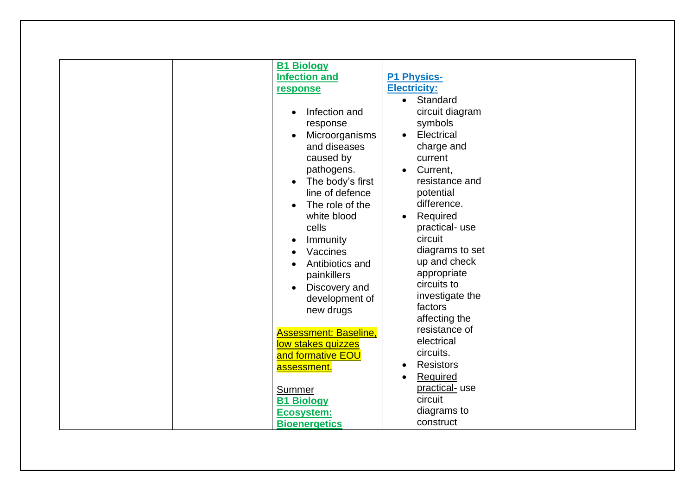| <b>B1 Biology</b><br><b>Infection and</b><br>response<br>Infection and<br>response<br>Microorganisms<br>and diseases<br>caused by<br>pathogens.<br>The body's first<br>$\bullet$<br>line of defence<br>The role of the<br>white blood<br>cells<br>Immunity<br>Vaccines<br>Antibiotics and<br>painkillers | <b>P1 Physics-</b><br><b>Electricity:</b><br>Standard<br>$\bullet$<br>circuit diagram<br>symbols<br>Electrical<br>$\bullet$<br>charge and<br>current<br>Current,<br>resistance and<br>potential<br>difference.<br>Required<br>$\bullet$<br>practical-use<br>circuit<br>diagrams to set<br>up and check<br>appropriate<br>circuits to |
|----------------------------------------------------------------------------------------------------------------------------------------------------------------------------------------------------------------------------------------------------------------------------------------------------------|--------------------------------------------------------------------------------------------------------------------------------------------------------------------------------------------------------------------------------------------------------------------------------------------------------------------------------------|
|                                                                                                                                                                                                                                                                                                          |                                                                                                                                                                                                                                                                                                                                      |
| Discovery and<br>development of<br>new drugs<br><b>Assessment: Baseline,</b>                                                                                                                                                                                                                             | investigate the<br>factors<br>affecting the<br>resistance of<br>electrical                                                                                                                                                                                                                                                           |
| low stakes quizzes<br>and formative EOU<br>assessment.                                                                                                                                                                                                                                                   | circuits.<br><b>Resistors</b><br>Required<br>practical- use                                                                                                                                                                                                                                                                          |
| Summer<br><b>B1 Biology</b><br><b>Ecosystem:</b><br><b>Bioenergetics</b>                                                                                                                                                                                                                                 | circuit<br>diagrams to<br>construct                                                                                                                                                                                                                                                                                                  |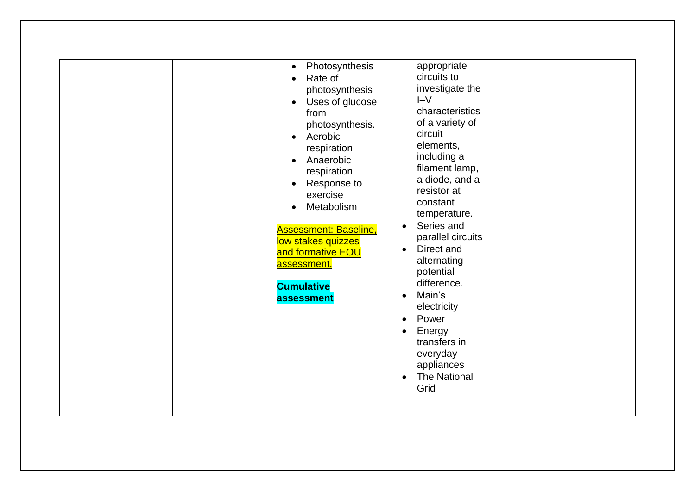| $\bullet$<br>Rate of<br>$\bullet$<br>from<br>Aerobic<br>$\bullet$<br>Anaerobic<br>$\bullet$<br>exercise<br><b>Assessment: Baseline,</b><br>low stakes quizzes<br>and formative EOU<br>assessment.<br><b>Cumulative</b><br>assessment | appropriate<br>Photosynthesis<br>circuits to<br>investigate the<br>photosynthesis<br>$I-V$<br>Uses of glucose<br>characteristics<br>of a variety of<br>photosynthesis.<br>circuit<br>elements,<br>respiration<br>including a<br>filament lamp,<br>respiration<br>a diode, and a<br>Response to<br>resistor at<br>constant<br>Metabolism<br>temperature.<br>Series and<br>$\bullet$<br>parallel circuits<br>Direct and<br>$\bullet$<br>alternating<br>potential<br>difference.<br>Main's<br>$\bullet$<br>electricity<br>Power<br>Energy<br>transfers in<br>everyday<br>appliances<br><b>The National</b><br>$\bullet$<br>Grid |
|--------------------------------------------------------------------------------------------------------------------------------------------------------------------------------------------------------------------------------------|------------------------------------------------------------------------------------------------------------------------------------------------------------------------------------------------------------------------------------------------------------------------------------------------------------------------------------------------------------------------------------------------------------------------------------------------------------------------------------------------------------------------------------------------------------------------------------------------------------------------------|
|--------------------------------------------------------------------------------------------------------------------------------------------------------------------------------------------------------------------------------------|------------------------------------------------------------------------------------------------------------------------------------------------------------------------------------------------------------------------------------------------------------------------------------------------------------------------------------------------------------------------------------------------------------------------------------------------------------------------------------------------------------------------------------------------------------------------------------------------------------------------------|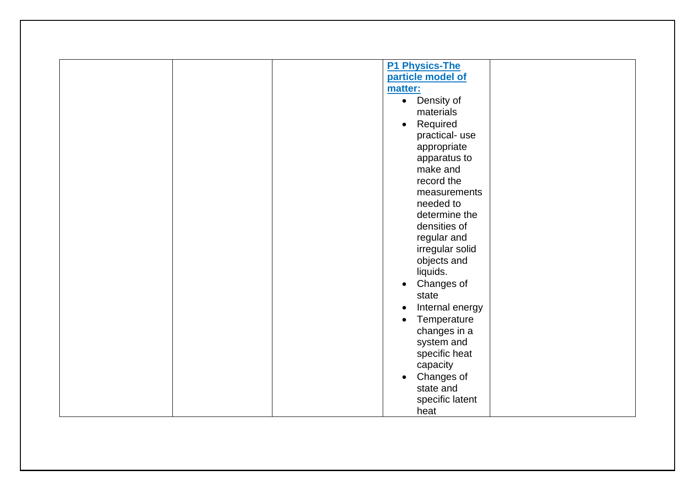| <b>P1 Physics-The</b>    |
|--------------------------|
| particle model of        |
| matter:                  |
| • Density of             |
| materials                |
| Required<br>$\bullet$    |
| practical-use            |
| appropriate              |
| apparatus to             |
| make and                 |
| record the               |
| measurements             |
| needed to                |
| determine the            |
| densities of             |
| regular and              |
| irregular solid          |
| objects and              |
| liquids.                 |
|                          |
| Changes of<br>$\bullet$  |
| state                    |
| Internal energy          |
| Temperature<br>$\bullet$ |
| changes in a             |
| system and               |
| specific heat            |
| capacity                 |
| Changes of<br>$\bullet$  |
| state and                |
| specific latent          |
| heat                     |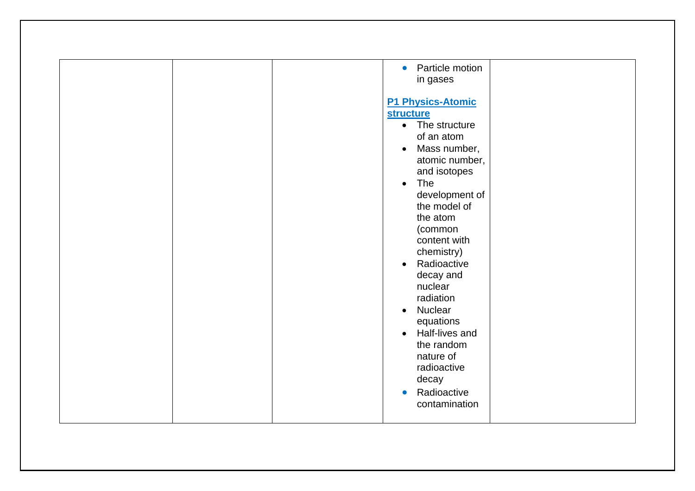| Particle motion<br>$\bullet$<br>in gases<br><b>P1 Physics-Atomic</b><br><b>structure</b><br>• The structure<br>of an atom<br>Mass number,<br>$\bullet$<br>atomic number,<br>and isotopes<br>The<br>$\bullet$<br>development of                                |
|---------------------------------------------------------------------------------------------------------------------------------------------------------------------------------------------------------------------------------------------------------------|
| (common<br>content with<br>chemistry)<br>Radioactive<br>$\bullet$<br>decay and<br>nuclear<br>radiation<br>Nuclear<br>$\bullet$<br>equations<br>Half-lives and<br>$\bullet$<br>the random<br>nature of<br>radioactive<br>decay<br>Radioactive<br>contamination |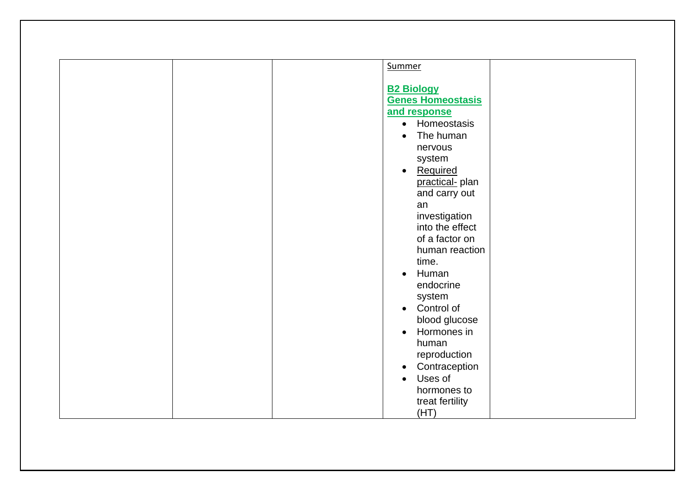| Summer                     |
|----------------------------|
|                            |
| <b>B2 Biology</b>          |
| <b>Genes Homeostasis</b>   |
| and response               |
| • Homeostasis              |
| The human                  |
|                            |
| nervous                    |
| system                     |
| Required<br>$\bullet$      |
| practical- plan            |
| and carry out              |
| an                         |
| investigation              |
| into the effect            |
| of a factor on             |
| human reaction             |
| time.                      |
| Human<br>$\bullet$         |
| endocrine                  |
| system                     |
| Control of<br>$\bullet$    |
| blood glucose              |
| Hormones in<br>$\bullet$   |
| human                      |
| reproduction               |
| Contraception<br>$\bullet$ |
| Uses of<br>$\bullet$       |
| hormones to                |
|                            |
| treat fertility<br>(HT)    |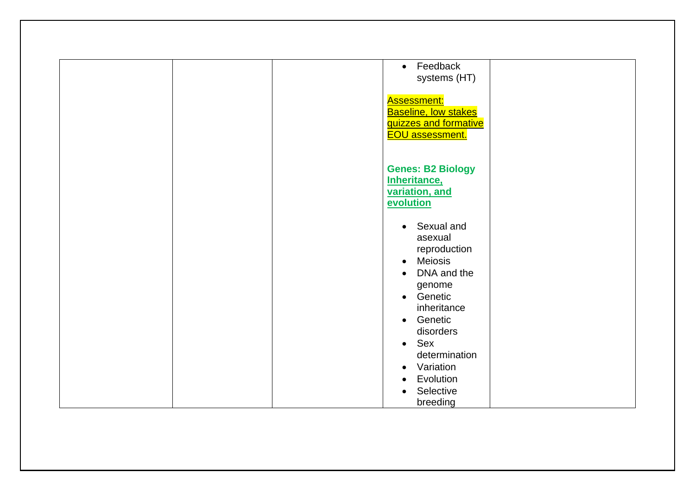| • Feedback<br>systems (HT)                                                                           |
|------------------------------------------------------------------------------------------------------|
| <b>Assessment:</b><br><b>Baseline, low stakes</b><br>quizzes and formative<br><b>EOU</b> assessment. |
| <b>Genes: B2 Biology</b><br><b>Inheritance,</b><br>variation, and<br>evolution                       |
| Sexual and<br>$\bullet$<br>asexual<br>reproduction                                                   |
| Meiosis<br>$\bullet$<br>DNA and the<br>$\bullet$<br>genome<br>• Genetic<br>inheritance               |
| Genetic<br>$\bullet$<br>disorders<br>Sex<br>$\bullet$<br>determination                               |
| Variation<br>$\bullet$<br>Evolution<br>$\bullet$<br>Selective<br>$\bullet$<br>breeding               |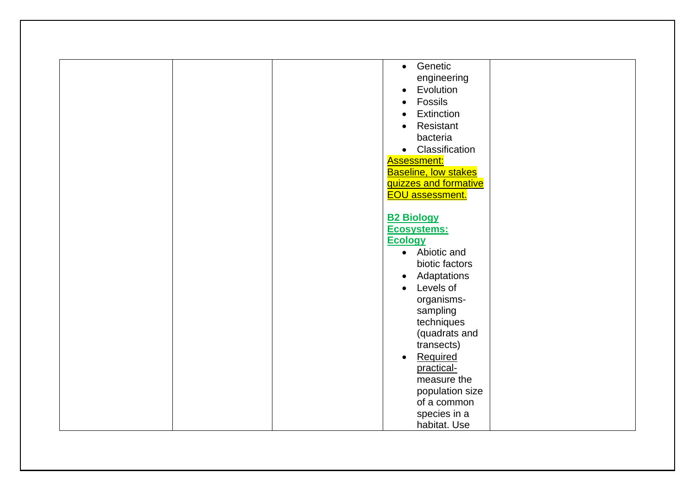| Genetic<br>$\bullet$        |
|-----------------------------|
| engineering                 |
| Evolution<br>$\bullet$      |
| Fossils                     |
| Extinction<br>$\bullet$     |
| Resistant<br>$\bullet$      |
| bacteria                    |
|                             |
| • Classification            |
| <b>Assessment:</b>          |
| <b>Baseline, low stakes</b> |
| quizzes and formative       |
| <b>EOU</b> assessment.      |
|                             |
| <b>B2 Biology</b>           |
| Ecosystems:                 |
| <b>Ecology</b>              |
| • Abiotic and               |
| biotic factors              |
| Adaptations<br>$\bullet$    |
| Levels of<br>$\bullet$      |
| organisms-                  |
| sampling                    |
| techniques                  |
| (quadrats and               |
| transects)                  |
| $\bullet$                   |
| Required                    |
| practical-                  |
| measure the                 |
| population size             |
| of a common                 |
| species in a                |
| habitat. Use                |